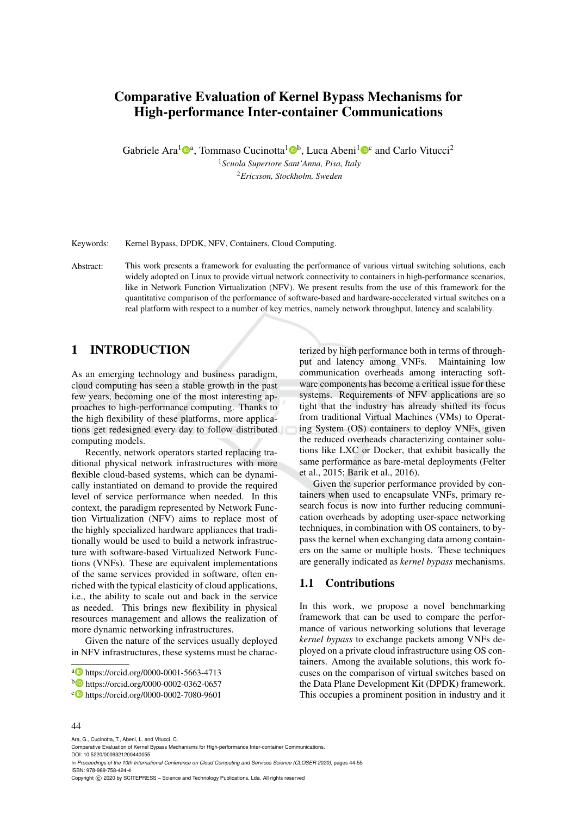# Comparative Evaluation of Kernel Bypass Mechanisms for High-performance Inter-container Communications

Gabriele Ara<sup>1</sup> $\mathbb{P}^a$ , Tommaso Cucinotta<sup>1</sup> $\mathbb{P}^b$ , Luca Abeni<sup>1</sup> $\mathbb{P}^c$  and Carlo Vitucci<sup>2</sup>

<sup>1</sup>*Scuola Superiore Sant'Anna, Pisa, Italy* <sup>2</sup>*Ericsson, Stockholm, Sweden*

Keywords: Kernel Bypass, DPDK, NFV, Containers, Cloud Computing.

Abstract: This work presents a framework for evaluating the performance of various virtual switching solutions, each widely adopted on Linux to provide virtual network connectivity to containers in high-performance scenarios, like in Network Function Virtualization (NFV). We present results from the use of this framework for the quantitative comparison of the performance of software-based and hardware-accelerated virtual switches on a real platform with respect to a number of key metrics, namely network throughput, latency and scalability.

## 1 INTRODUCTION

As an emerging technology and business paradigm, cloud computing has seen a stable growth in the past few years, becoming one of the most interesting approaches to high-performance computing. Thanks to the high flexibility of these platforms, more applications get redesigned every day to follow distributed computing models.

Recently, network operators started replacing traditional physical network infrastructures with more flexible cloud-based systems, which can be dynamically instantiated on demand to provide the required level of service performance when needed. In this context, the paradigm represented by Network Function Virtualization (NFV) aims to replace most of the highly specialized hardware appliances that traditionally would be used to build a network infrastructure with software-based Virtualized Network Functions (VNFs). These are equivalent implementations of the same services provided in software, often enriched with the typical elasticity of cloud applications, i.e., the ability to scale out and back in the service as needed. This brings new flexibility in physical resources management and allows the realization of more dynamic networking infrastructures.

Given the nature of the services usually deployed in NFV infrastructures, these systems must be charac-

terized by high performance both in terms of throughput and latency among VNFs. Maintaining low communication overheads among interacting software components has become a critical issue for these systems. Requirements of NFV applications are so tight that the industry has already shifted its focus from traditional Virtual Machines (VMs) to Operating System (OS) containers to deploy VNFs, given the reduced overheads characterizing container solutions like LXC or Docker, that exhibit basically the same performance as bare-metal deployments (Felter et al., 2015; Barik et al., 2016).

Given the superior performance provided by containers when used to encapsulate VNFs, primary research focus is now into further reducing communication overheads by adopting user-space networking techniques, in combination with OS containers, to bypass the kernel when exchanging data among containers on the same or multiple hosts. These techniques are generally indicated as *kernel bypass* mechanisms.

### 1.1 Contributions

In this work, we propose a novel benchmarking framework that can be used to compare the performance of various networking solutions that leverage *kernel bypass* to exchange packets among VNFs deployed on a private cloud infrastructure using OS containers. Among the available solutions, this work focuses on the comparison of virtual switches based on the Data Plane Development Kit (DPDK) framework. This occupies a prominent position in industry and it

#### 44

Ara, G., Cucinotta, T., Abeni, L. and Vitucci, C.

<sup>a</sup> https://orcid.org/0000-0001-5663-4713

<sup>b</sup> https://orcid.org/0000-0002-0362-0657

<sup>c</sup> https://orcid.org/0000-0002-7080-9601

Comparative Evaluation of Kernel Bypass Mechanisms for High-performance Inter-container Communications. DOI: 10.5220/0009321200440055

In *Proceedings of the 10th International Conference on Cloud Computing and Services Science (CLOSER 2020)*, pages 44-55 ISBN: 978-989-758-424-4

Copyright © 2020 by SCITEPRESS - Science and Technology Publications, Lda. All rights reserved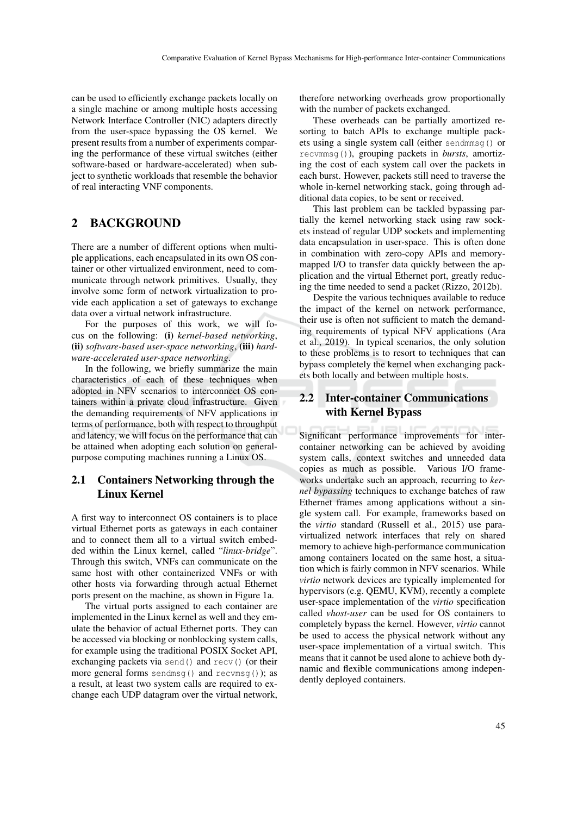can be used to efficiently exchange packets locally on a single machine or among multiple hosts accessing Network Interface Controller (NIC) adapters directly from the user-space bypassing the OS kernel. We present results from a number of experiments comparing the performance of these virtual switches (either software-based or hardware-accelerated) when subject to synthetic workloads that resemble the behavior of real interacting VNF components.

## 2 BACKGROUND

There are a number of different options when multiple applications, each encapsulated in its own OS container or other virtualized environment, need to communicate through network primitives. Usually, they involve some form of network virtualization to provide each application a set of gateways to exchange data over a virtual network infrastructure.

For the purposes of this work, we will focus on the following: (i) *kernel-based networking*, (ii) *software-based user-space networking*, (iii) *hardware-accelerated user-space networking*.

In the following, we briefly summarize the main characteristics of each of these techniques when adopted in NFV scenarios to interconnect OS containers within a private cloud infrastructure. Given the demanding requirements of NFV applications in terms of performance, both with respect to throughput and latency, we will focus on the performance that can be attained when adopting each solution on generalpurpose computing machines running a Linux OS.

## 2.1 Containers Networking through the Linux Kernel

A first way to interconnect OS containers is to place virtual Ethernet ports as gateways in each container and to connect them all to a virtual switch embedded within the Linux kernel, called "*linux-bridge*". Through this switch, VNFs can communicate on the same host with other containerized VNFs or with other hosts via forwarding through actual Ethernet ports present on the machine, as shown in Figure 1a.

The virtual ports assigned to each container are implemented in the Linux kernel as well and they emulate the behavior of actual Ethernet ports. They can be accessed via blocking or nonblocking system calls, for example using the traditional POSIX Socket API, exchanging packets via send() and recv() (or their more general forms sendmsg() and recvmsg()); as a result, at least two system calls are required to exchange each UDP datagram over the virtual network, therefore networking overheads grow proportionally with the number of packets exchanged.

These overheads can be partially amortized resorting to batch APIs to exchange multiple packets using a single system call (either sendmmsg() or recvmmsg()), grouping packets in *bursts*, amortizing the cost of each system call over the packets in each burst. However, packets still need to traverse the whole in-kernel networking stack, going through additional data copies, to be sent or received.

This last problem can be tackled bypassing partially the kernel networking stack using raw sockets instead of regular UDP sockets and implementing data encapsulation in user-space. This is often done in combination with zero-copy APIs and memorymapped I/O to transfer data quickly between the application and the virtual Ethernet port, greatly reducing the time needed to send a packet (Rizzo, 2012b).

Despite the various techniques available to reduce the impact of the kernel on network performance, their use is often not sufficient to match the demanding requirements of typical NFV applications (Ara et al., 2019). In typical scenarios, the only solution to these problems is to resort to techniques that can bypass completely the kernel when exchanging packets both locally and between multiple hosts.

# 2.2 Inter-container Communications with Kernel Bypass

Significant performance improvements for intercontainer networking can be achieved by avoiding system calls, context switches and unneeded data copies as much as possible. Various I/O frameworks undertake such an approach, recurring to *kernel bypassing* techniques to exchange batches of raw Ethernet frames among applications without a single system call. For example, frameworks based on the *virtio* standard (Russell et al., 2015) use paravirtualized network interfaces that rely on shared memory to achieve high-performance communication among containers located on the same host, a situation which is fairly common in NFV scenarios. While *virtio* network devices are typically implemented for hypervisors (e.g. QEMU, KVM), recently a complete user-space implementation of the *virtio* specification called *vhost-user* can be used for OS containers to completely bypass the kernel. However, *virtio* cannot be used to access the physical network without any user-space implementation of a virtual switch. This means that it cannot be used alone to achieve both dynamic and flexible communications among independently deployed containers.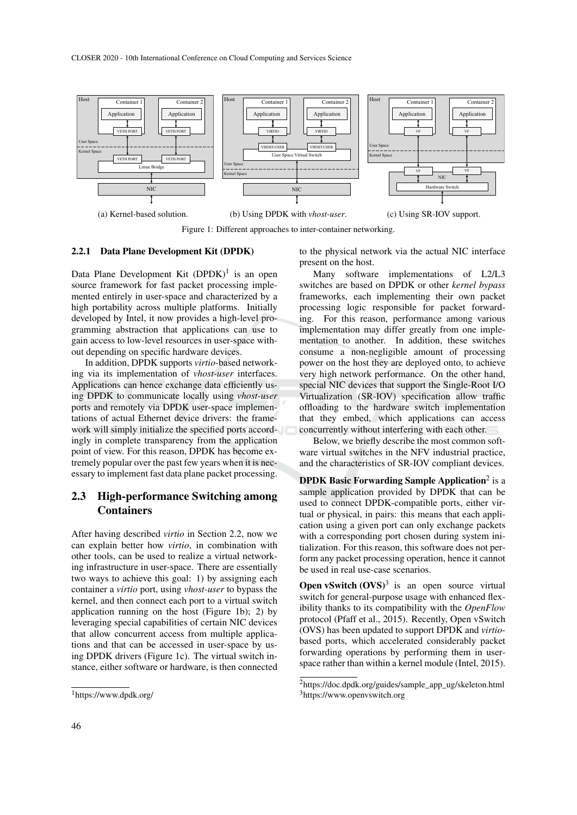

Figure 1: Different approaches to inter-container networking.

#### 2.2.1 Data Plane Development Kit (DPDK)

Data Plane Development Kit  $(DPDK)^1$  is an open source framework for fast packet processing implemented entirely in user-space and characterized by a high portability across multiple platforms. Initially developed by Intel, it now provides a high-level programming abstraction that applications can use to gain access to low-level resources in user-space without depending on specific hardware devices.

In addition, DPDK supports *virtio*-based networking via its implementation of *vhost-user* interfaces. Applications can hence exchange data efficiently using DPDK to communicate locally using *vhost-user* ports and remotely via DPDK user-space implementations of actual Ethernet device drivers: the framework will simply initialize the specified ports accordingly in complete transparency from the application point of view. For this reason, DPDK has become extremely popular over the past few years when it is necessary to implement fast data plane packet processing.

## 2.3 High-performance Switching among Containers

After having described *virtio* in Section 2.2, now we can explain better how *virtio*, in combination with other tools, can be used to realize a virtual networking infrastructure in user-space. There are essentially two ways to achieve this goal: 1) by assigning each container a *virtio* port, using *vhost-user* to bypass the kernel, and then connect each port to a virtual switch application running on the host (Figure 1b); 2) by leveraging special capabilities of certain NIC devices that allow concurrent access from multiple applications and that can be accessed in user-space by using DPDK drivers (Figure 1c). The virtual switch instance, either software or hardware, is then connected

to the physical network via the actual NIC interface present on the host.

Many software implementations of L2/L3 switches are based on DPDK or other *kernel bypass* frameworks, each implementing their own packet processing logic responsible for packet forwarding. For this reason, performance among various implementation may differ greatly from one implementation to another. In addition, these switches consume a non-negligible amount of processing power on the host they are deployed onto, to achieve very high network performance. On the other hand, special NIC devices that support the Single-Root I/O Virtualization (SR-IOV) specification allow traffic offloading to the hardware switch implementation that they embed, which applications can access concurrently without interfering with each other.

Below, we briefly describe the most common software virtual switches in the NFV industrial practice, and the characteristics of SR-IOV compliant devices.

**DPDK Basic Forwarding Sample Application**<sup>2</sup> is a sample application provided by DPDK that can be used to connect DPDK-compatible ports, either virtual or physical, in pairs: this means that each application using a given port can only exchange packets with a corresponding port chosen during system initialization. For this reason, this software does not perform any packet processing operation, hence it cannot be used in real use-case scenarios.

**Open vSwitch**  $(OVS)^3$  is an open source virtual switch for general-purpose usage with enhanced flexibility thanks to its compatibility with the *OpenFlow* protocol (Pfaff et al., 2015). Recently, Open vSwitch (OVS) has been updated to support DPDK and *virtio*based ports, which accelerated considerably packet forwarding operations by performing them in userspace rather than within a kernel module (Intel, 2015).

<sup>1</sup>https://www.dpdk.org/

<sup>2</sup>https://doc.dpdk.org/guides/sample\_app\_ug/skeleton.html <sup>3</sup>https://www.openvswitch.org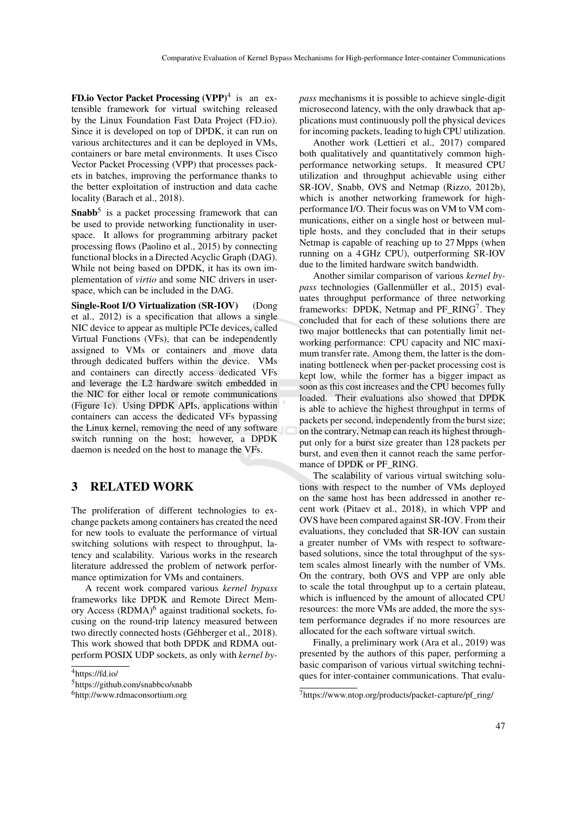**FD.io Vector Packet Processing (VPP)**<sup>4</sup> is an extensible framework for virtual switching released by the Linux Foundation Fast Data Project (FD.io). Since it is developed on top of DPDK, it can run on various architectures and it can be deployed in VMs, containers or bare metal environments. It uses Cisco Vector Packet Processing (VPP) that processes packets in batches, improving the performance thanks to the better exploitation of instruction and data cache locality (Barach et al., 2018).

**Snabb**<sup>5</sup> is a packet processing framework that can be used to provide networking functionality in userspace. It allows for programming arbitrary packet processing flows (Paolino et al., 2015) by connecting functional blocks in a Directed Acyclic Graph (DAG). While not being based on DPDK, it has its own implementation of *virtio* and some NIC drivers in userspace, which can be included in the DAG.

Single-Root I/O Virtualization (SR-IOV) (Dong et al., 2012) is a specification that allows a single NIC device to appear as multiple PCIe devices, called Virtual Functions (VFs), that can be independently assigned to VMs or containers and move data through dedicated buffers within the device. VMs and containers can directly access dedicated VFs and leverage the L2 hardware switch embedded in the NIC for either local or remote communications (Figure 1c). Using DPDK APIs, applications within containers can access the dedicated VFs bypassing the Linux kernel, removing the need of any software switch running on the host; however, a DPDK daemon is needed on the host to manage the VFs.

## 3 RELATED WORK

The proliferation of different technologies to exchange packets among containers has created the need for new tools to evaluate the performance of virtual switching solutions with respect to throughput, latency and scalability. Various works in the research literature addressed the problem of network performance optimization for VMs and containers.

A recent work compared various *kernel bypass* frameworks like DPDK and Remote Direct Memory Access (RDMA)<sup>6</sup> against traditional sockets, focusing on the round-trip latency measured between two directly connected hosts (Géhberger et al., 2018). This work showed that both DPDK and RDMA outperform POSIX UDP sockets, as only with *kernel by-* *pass* mechanisms it is possible to achieve single-digit microsecond latency, with the only drawback that applications must continuously poll the physical devices for incoming packets, leading to high CPU utilization.

Another work (Lettieri et al., 2017) compared both qualitatively and quantitatively common highperformance networking setups. It measured CPU utilization and throughput achievable using either SR-IOV, Snabb, OVS and Netmap (Rizzo, 2012b), which is another networking framework for highperformance I/O. Their focus was on VM to VM communications, either on a single host or between multiple hosts, and they concluded that in their setups Netmap is capable of reaching up to 27 Mpps (when running on a 4 GHz CPU), outperforming SR-IOV due to the limited hardware switch bandwidth.

Another similar comparison of various *kernel bypass* technologies (Gallenmüller et al., 2015) evaluates throughput performance of three networking frameworks: DPDK, Netmap and PF\_RING<sup>7</sup>. They concluded that for each of these solutions there are two major bottlenecks that can potentially limit networking performance: CPU capacity and NIC maximum transfer rate. Among them, the latter is the dominating bottleneck when per-packet processing cost is kept low, while the former has a bigger impact as soon as this cost increases and the CPU becomes fully loaded. Their evaluations also showed that DPDK is able to achieve the highest throughput in terms of packets per second, independently from the burst size; on the contrary, Netmap can reach its highest throughput only for a burst size greater than 128 packets per burst, and even then it cannot reach the same performance of DPDK or PF\_RING.

The scalability of various virtual switching solutions with respect to the number of VMs deployed on the same host has been addressed in another recent work (Pitaev et al., 2018), in which VPP and OVS have been compared against SR-IOV. From their evaluations, they concluded that SR-IOV can sustain a greater number of VMs with respect to softwarebased solutions, since the total throughput of the system scales almost linearly with the number of VMs. On the contrary, both OVS and VPP are only able to scale the total throughput up to a certain plateau, which is influenced by the amount of allocated CPU resources: the more VMs are added, the more the system performance degrades if no more resources are allocated for the each software virtual switch.

Finally, a preliminary work (Ara et al., 2019) was presented by the authors of this paper, performing a basic comparison of various virtual switching techniques for inter-container communications. That evalu-

<sup>4</sup>https://fd.io/

<sup>5</sup>https://github.com/snabbco/snabb

<sup>6</sup>http://www.rdmaconsortium.org

<sup>7</sup>https://www.ntop.org/products/packet-capture/pf\_ring/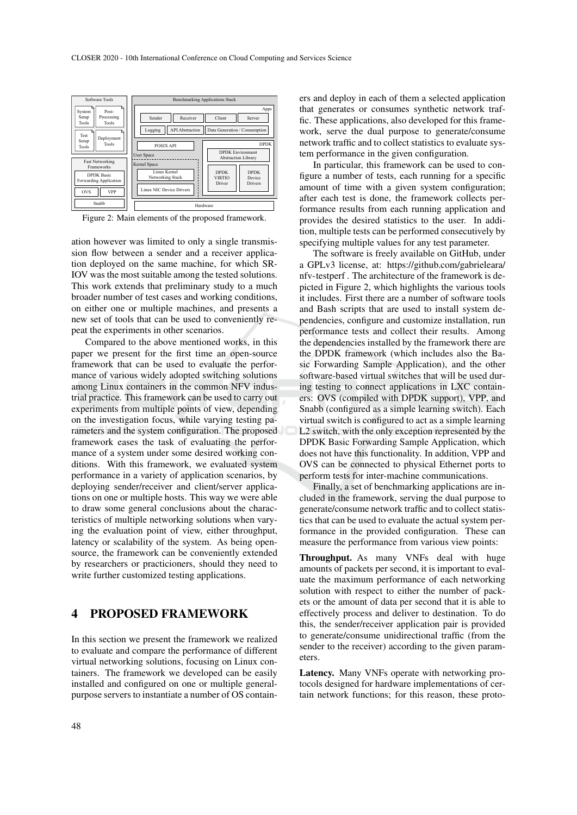

Figure 2: Main elements of the proposed framework.

ation however was limited to only a single transmission flow between a sender and a receiver application deployed on the same machine, for which SR-IOV was the most suitable among the tested solutions. This work extends that preliminary study to a much broader number of test cases and working conditions, on either one or multiple machines, and presents a new set of tools that can be used to conveniently repeat the experiments in other scenarios.

Compared to the above mentioned works, in this paper we present for the first time an open-source framework that can be used to evaluate the performance of various widely adopted switching solutions among Linux containers in the common NFV industrial practice. This framework can be used to carry out experiments from multiple points of view, depending on the investigation focus, while varying testing parameters and the system configuration. The proposed framework eases the task of evaluating the performance of a system under some desired working conditions. With this framework, we evaluated system performance in a variety of application scenarios, by deploying sender/receiver and client/server applications on one or multiple hosts. This way we were able to draw some general conclusions about the characteristics of multiple networking solutions when varying the evaluation point of view, either throughput, latency or scalability of the system. As being opensource, the framework can be conveniently extended by researchers or practicioners, should they need to write further customized testing applications.

## 4 PROPOSED FRAMEWORK

In this section we present the framework we realized to evaluate and compare the performance of different virtual networking solutions, focusing on Linux containers. The framework we developed can be easily installed and configured on one or multiple generalpurpose servers to instantiate a number of OS containers and deploy in each of them a selected application that generates or consumes synthetic network traffic. These applications, also developed for this framework, serve the dual purpose to generate/consume network traffic and to collect statistics to evaluate system performance in the given configuration.

In particular, this framework can be used to configure a number of tests, each running for a specific amount of time with a given system configuration; after each test is done, the framework collects performance results from each running application and provides the desired statistics to the user. In addition, multiple tests can be performed consecutively by specifying multiple values for any test parameter.

The software is freely available on GitHub, under a GPLv3 license, at: https://github.com/gabrieleara/ nfv-testperf . The architecture of the framework is depicted in Figure 2, which highlights the various tools it includes. First there are a number of software tools and Bash scripts that are used to install system dependencies, configure and customize installation, run performance tests and collect their results. Among the dependencies installed by the framework there are the DPDK framework (which includes also the Basic Forwarding Sample Application), and the other software-based virtual switches that will be used during testing to connect applications in LXC containers: OVS (compiled with DPDK support), VPP, and Snabb (configured as a simple learning switch). Each virtual switch is configured to act as a simple learning L2 switch, with the only exception represented by the DPDK Basic Forwarding Sample Application, which does not have this functionality. In addition, VPP and OVS can be connected to physical Ethernet ports to perform tests for inter-machine communications.

Finally, a set of benchmarking applications are included in the framework, serving the dual purpose to generate/consume network traffic and to collect statistics that can be used to evaluate the actual system performance in the provided configuration. These can measure the performance from various view points:

Throughput. As many VNFs deal with huge amounts of packets per second, it is important to evaluate the maximum performance of each networking solution with respect to either the number of packets or the amount of data per second that it is able to effectively process and deliver to destination. To do this, the sender/receiver application pair is provided to generate/consume unidirectional traffic (from the sender to the receiver) according to the given parameters.

Latency. Many VNFs operate with networking protocols designed for hardware implementations of certain network functions; for this reason, these proto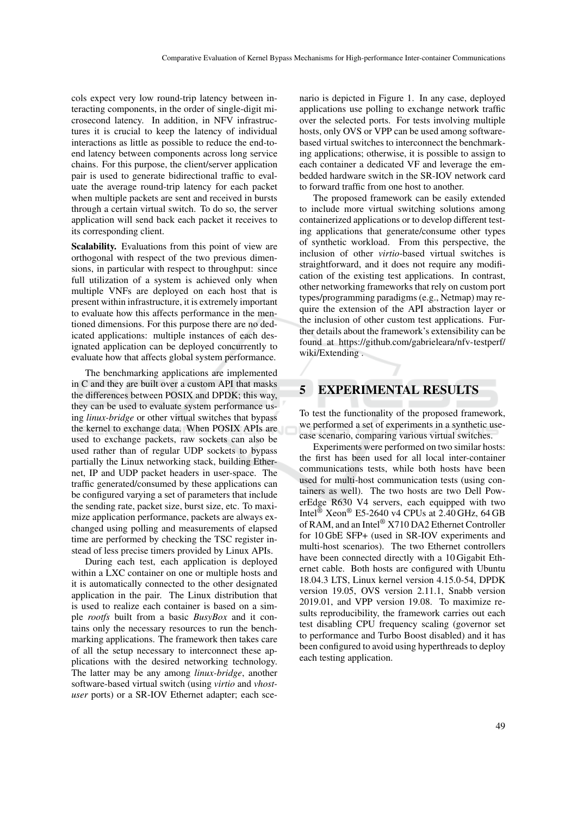cols expect very low round-trip latency between interacting components, in the order of single-digit microsecond latency. In addition, in NFV infrastructures it is crucial to keep the latency of individual interactions as little as possible to reduce the end-toend latency between components across long service chains. For this purpose, the client/server application pair is used to generate bidirectional traffic to evaluate the average round-trip latency for each packet when multiple packets are sent and received in bursts through a certain virtual switch. To do so, the server application will send back each packet it receives to its corresponding client.

Scalability. Evaluations from this point of view are orthogonal with respect of the two previous dimensions, in particular with respect to throughput: since full utilization of a system is achieved only when multiple VNFs are deployed on each host that is present within infrastructure, it is extremely important to evaluate how this affects performance in the mentioned dimensions. For this purpose there are no dedicated applications: multiple instances of each designated application can be deployed concurrently to evaluate how that affects global system performance.

The benchmarking applications are implemented in C and they are built over a custom API that masks the differences between POSIX and DPDK; this way, they can be used to evaluate system performance using *linux-bridge* or other virtual switches that bypass the kernel to exchange data. When POSIX APIs are used to exchange packets, raw sockets can also be used rather than of regular UDP sockets to bypass partially the Linux networking stack, building Ethernet, IP and UDP packet headers in user-space. The traffic generated/consumed by these applications can be configured varying a set of parameters that include the sending rate, packet size, burst size, etc. To maximize application performance, packets are always exchanged using polling and measurements of elapsed time are performed by checking the TSC register instead of less precise timers provided by Linux APIs.

During each test, each application is deployed within a LXC container on one or multiple hosts and it is automatically connected to the other designated application in the pair. The Linux distribution that is used to realize each container is based on a simple *rootfs* built from a basic *BusyBox* and it contains only the necessary resources to run the benchmarking applications. The framework then takes care of all the setup necessary to interconnect these applications with the desired networking technology. The latter may be any among *linux-bridge*, another software-based virtual switch (using *virtio* and *vhostuser* ports) or a SR-IOV Ethernet adapter; each scenario is depicted in Figure 1. In any case, deployed applications use polling to exchange network traffic over the selected ports. For tests involving multiple hosts, only OVS or VPP can be used among softwarebased virtual switches to interconnect the benchmarking applications; otherwise, it is possible to assign to each container a dedicated VF and leverage the embedded hardware switch in the SR-IOV network card to forward traffic from one host to another.

The proposed framework can be easily extended to include more virtual switching solutions among containerized applications or to develop different testing applications that generate/consume other types of synthetic workload. From this perspective, the inclusion of other *virtio*-based virtual switches is straightforward, and it does not require any modification of the existing test applications. In contrast, other networking frameworks that rely on custom port types/programming paradigms (e.g., Netmap) may require the extension of the API abstraction layer or the inclusion of other custom test applications. Further details about the framework's extensibility can be found at https://github.com/gabrieleara/nfv-testperf/ wiki/Extending .

# 5 EXPERIMENTAL RESULTS

To test the functionality of the proposed framework, we performed a set of experiments in a synthetic usecase scenario, comparing various virtual switches.

Experiments were performed on two similar hosts: the first has been used for all local inter-container communications tests, while both hosts have been used for multi-host communication tests (using containers as well). The two hosts are two Dell PowerEdge R630 V4 servers, each equipped with two Intel® Xeon® E5-2640 v4 CPUs at 2.40 GHz, 64 GB of RAM, and an Intel® X710 DA2 Ethernet Controller for 10 GbE SFP+ (used in SR-IOV experiments and multi-host scenarios). The two Ethernet controllers have been connected directly with a 10 Gigabit Ethernet cable. Both hosts are configured with Ubuntu 18.04.3 LTS, Linux kernel version 4.15.0-54, DPDK version 19.05, OVS version 2.11.1, Snabb version 2019.01, and VPP version 19.08. To maximize results reproducibility, the framework carries out each test disabling CPU frequency scaling (governor set to performance and Turbo Boost disabled) and it has been configured to avoid using hyperthreads to deploy each testing application.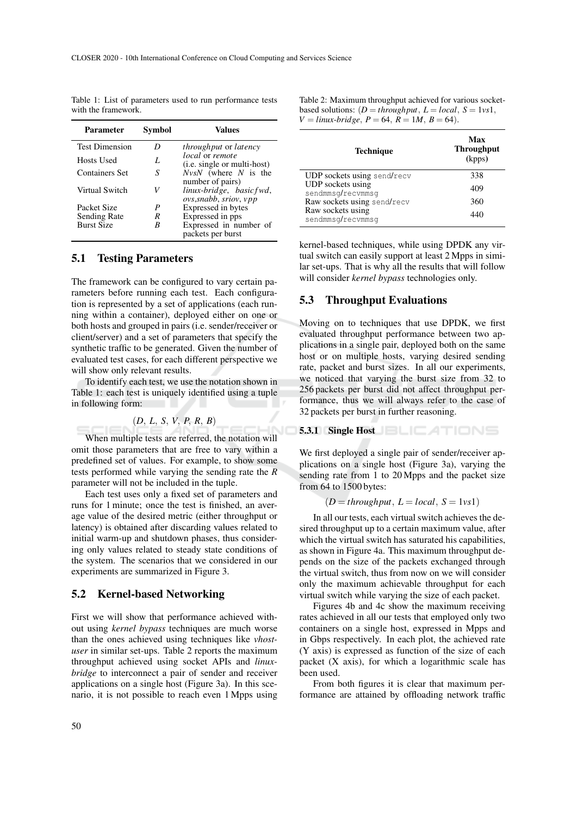| Parameter             | Symbol | Values                                                                |
|-----------------------|--------|-----------------------------------------------------------------------|
| <b>Test Dimension</b> |        | <i>throughput</i> or <i>latency</i>                                   |
| Hosts Used            | L      | <i>local</i> or <i>remote</i><br>( <i>i.e.</i> single or multi-host)  |
| Containers Set        | S      | $Nv$ sN (where N is the                                               |
| Virtual Switch        | V      | number of pairs)<br>linux-bridge, basicfwd,<br>ovs, snabb, sriov, vpp |
| Packet Size           | P      | Expressed in bytes                                                    |
| Sending Rate          | R      | Expressed in pps                                                      |
| <b>Burst Size</b>     | R      | Expressed in number of                                                |
|                       |        | packets per burst                                                     |

Table 1: List of parameters used to run performance tests with the framework.

### 5.1 Testing Parameters

The framework can be configured to vary certain parameters before running each test. Each configuration is represented by a set of applications (each running within a container), deployed either on one or both hosts and grouped in pairs (i.e. sender/receiver or client/server) and a set of parameters that specify the synthetic traffic to be generated. Given the number of evaluated test cases, for each different perspective we will show only relevant results.

To identify each test, we use the notation shown in Table 1: each test is uniquely identified using a tuple in following form:

(*D*, *L*, *S*, *V*, *P*, *R*, *B*)

When multiple tests are referred, the notation will omit those parameters that are free to vary within a predefined set of values. For example, to show some tests performed while varying the sending rate the *R* parameter will not be included in the tuple.

Each test uses only a fixed set of parameters and runs for 1 minute; once the test is finished, an average value of the desired metric (either throughput or latency) is obtained after discarding values related to initial warm-up and shutdown phases, thus considering only values related to steady state conditions of the system. The scenarios that we considered in our experiments are summarized in Figure 3.

### 5.2 Kernel-based Networking

First we will show that performance achieved without using *kernel bypass* techniques are much worse than the ones achieved using techniques like *vhostuser* in similar set-ups. Table 2 reports the maximum throughput achieved using socket APIs and *linuxbridge* to interconnect a pair of sender and receiver applications on a single host (Figure 3a). In this scenario, it is not possible to reach even 1 Mpps using Table 2: Maximum throughput achieved for various socketbased solutions:  $(D = throughput, L = local, S = 1vs1,$  $V = \text{linux-bridge}, P = 64, R = 1M, B = 64).$ 

| Max<br><b>Throughput</b><br>(kpps) |
|------------------------------------|
| 338                                |
| 409                                |
|                                    |
| 360                                |
| 440                                |
|                                    |

kernel-based techniques, while using DPDK any virtual switch can easily support at least 2 Mpps in similar set-ups. That is why all the results that will follow will consider *kernel bypass* technologies only.

### 5.3 Throughput Evaluations

Moving on to techniques that use DPDK, we first evaluated throughput performance between two applications in a single pair, deployed both on the same host or on multiple hosts, varying desired sending rate, packet and burst sizes. In all our experiments, we noticed that varying the burst size from 32 to 256 packets per burst did not affect throughput performance, thus we will always refer to the case of 32 packets per burst in further reasoning.

#### 5.3.1 Single Host **ELEATIONS**

We first deployed a single pair of sender/receiver applications on a single host (Figure 3a), varying the sending rate from 1 to 20 Mpps and the packet size from 64 to 1500 bytes:

$$
(D = throughput, L = local, S = 1vs1)
$$

In all our tests, each virtual switch achieves the desired throughput up to a certain maximum value, after which the virtual switch has saturated his capabilities, as shown in Figure 4a. This maximum throughput depends on the size of the packets exchanged through the virtual switch, thus from now on we will consider only the maximum achievable throughput for each virtual switch while varying the size of each packet.

Figures 4b and 4c show the maximum receiving rates achieved in all our tests that employed only two containers on a single host, expressed in Mpps and in Gbps respectively. In each plot, the achieved rate (Y axis) is expressed as function of the size of each packet (X axis), for which a logarithmic scale has been used.

From both figures it is clear that maximum performance are attained by offloading network traffic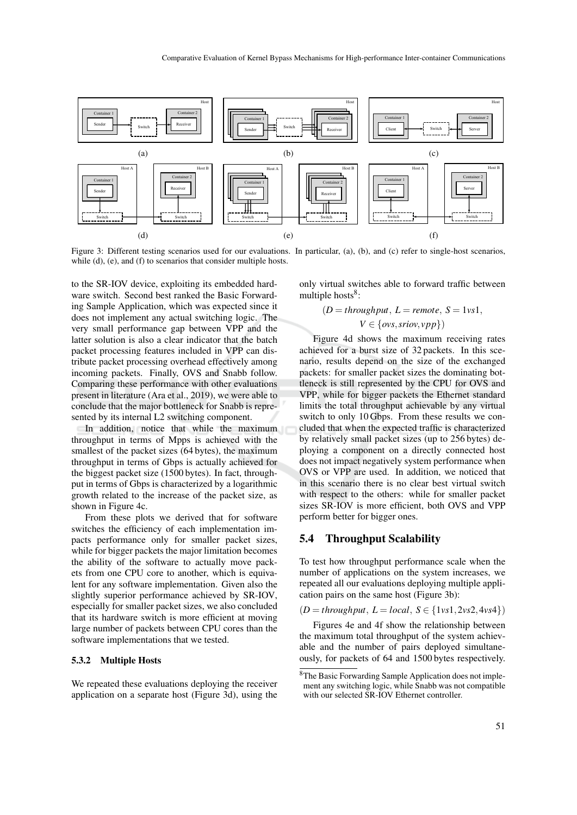

Figure 3: Different testing scenarios used for our evaluations. In particular, (a), (b), and (c) refer to single-host scenarios, while (d), (e), and (f) to scenarios that consider multiple hosts.

to the SR-IOV device, exploiting its embedded hardware switch. Second best ranked the Basic Forwarding Sample Application, which was expected since it does not implement any actual switching logic. The very small performance gap between VPP and the latter solution is also a clear indicator that the batch packet processing features included in VPP can distribute packet processing overhead effectively among incoming packets. Finally, OVS and Snabb follow. Comparing these performance with other evaluations present in literature (Ara et al., 2019), we were able to conclude that the major bottleneck for Snabb is represented by its internal L2 switching component.

In addition, notice that while the maximum throughput in terms of Mpps is achieved with the smallest of the packet sizes (64 bytes), the maximum throughput in terms of Gbps is actually achieved for the biggest packet size (1500 bytes). In fact, throughput in terms of Gbps is characterized by a logarithmic growth related to the increase of the packet size, as shown in Figure 4c.

From these plots we derived that for software switches the efficiency of each implementation impacts performance only for smaller packet sizes, while for bigger packets the major limitation becomes the ability of the software to actually move packets from one CPU core to another, which is equivalent for any software implementation. Given also the slightly superior performance achieved by SR-IOV, especially for smaller packet sizes, we also concluded that its hardware switch is more efficient at moving large number of packets between CPU cores than the software implementations that we tested.

#### 5.3.2 Multiple Hosts

We repeated these evaluations deploying the receiver application on a separate host (Figure 3d), using the only virtual switches able to forward traffic between multiple hosts<sup>8</sup>:

$$
(D = \text{throughput}, L = \text{remote}, S = 1 \text{vs1},
$$

$$
V \in \{ovs, sriov, vpp\})
$$

Figure 4d shows the maximum receiving rates achieved for a burst size of 32 packets. In this scenario, results depend on the size of the exchanged packets: for smaller packet sizes the dominating bottleneck is still represented by the CPU for OVS and VPP, while for bigger packets the Ethernet standard limits the total throughput achievable by any virtual switch to only 10 Gbps. From these results we concluded that when the expected traffic is characterized by relatively small packet sizes (up to 256 bytes) deploying a component on a directly connected host does not impact negatively system performance when OVS or VPP are used. In addition, we noticed that in this scenario there is no clear best virtual switch with respect to the others: while for smaller packet sizes SR-IOV is more efficient, both OVS and VPP perform better for bigger ones.

### 5.4 Throughput Scalability

To test how throughput performance scale when the number of applications on the system increases, we repeated all our evaluations deploying multiple application pairs on the same host (Figure 3b):

 $(D = \text{throughput}, L = \text{local}, S \in \{1 \text{vs} 1, 2 \text{vs} 2, 4 \text{vs} 4\})$ 

Figures 4e and 4f show the relationship between the maximum total throughput of the system achievable and the number of pairs deployed simultaneously, for packets of 64 and 1500 bytes respectively.

<sup>8</sup>The Basic Forwarding Sample Application does not implement any switching logic, while Snabb was not compatible with our selected SR-IOV Ethernet controller.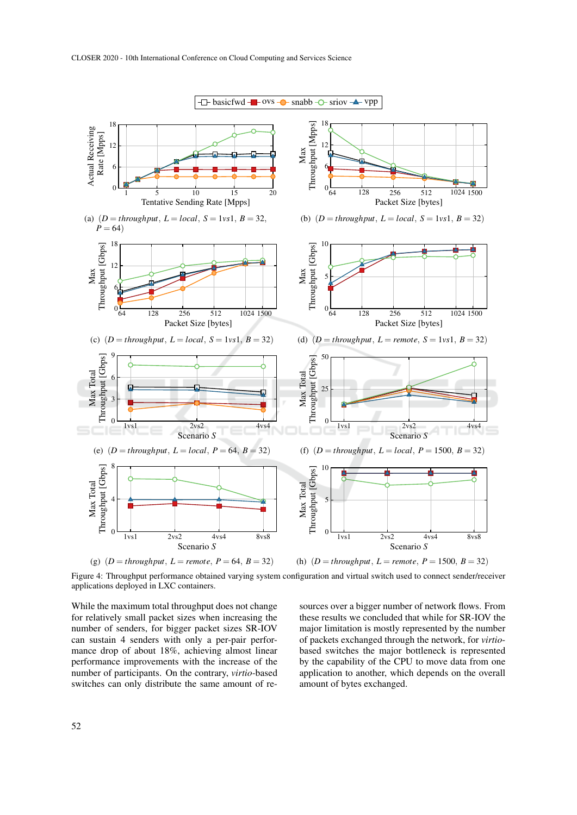

Figure 4: Throughput performance obtained varying system configuration and virtual switch used to connect sender/receiver applications deployed in LXC containers.

While the maximum total throughput does not change for relatively small packet sizes when increasing the number of senders, for bigger packet sizes SR-IOV can sustain 4 senders with only a per-pair performance drop of about 18%, achieving almost linear performance improvements with the increase of the number of participants. On the contrary, *virtio*-based switches can only distribute the same amount of resources over a bigger number of network flows. From these results we concluded that while for SR-IOV the major limitation is mostly represented by the number of packets exchanged through the network, for *virtio*based switches the major bottleneck is represented by the capability of the CPU to move data from one application to another, which depends on the overall amount of bytes exchanged.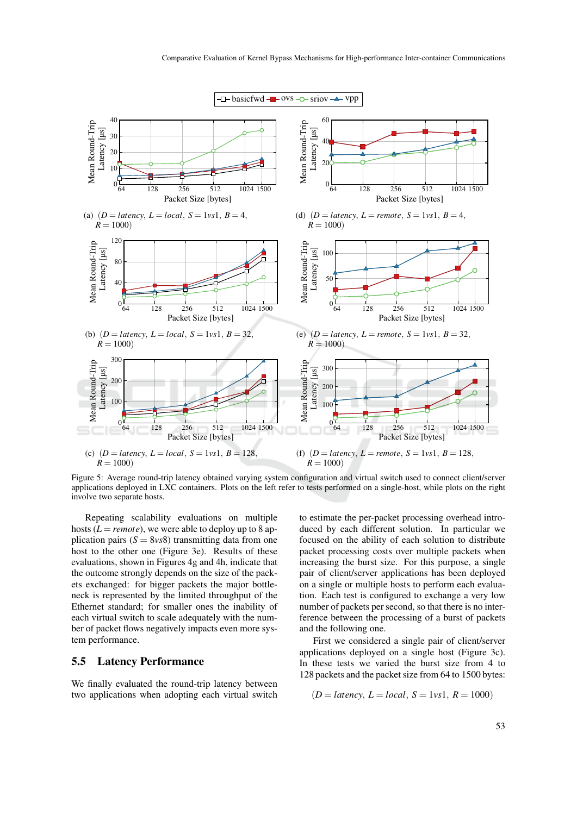

Figure 5: Average round-trip latency obtained varying system configuration and virtual switch used to connect client/server applications deployed in LXC containers. Plots on the left refer to tests performed on a single-host, while plots on the right involve two separate hosts.

Repeating scalability evaluations on multiple hosts ( $L = remote$ ), we were able to deploy up to 8 application pairs  $(S = 8v<sub>s</sub>8)$  transmitting data from one host to the other one (Figure 3e). Results of these evaluations, shown in Figures 4g and 4h, indicate that the outcome strongly depends on the size of the packets exchanged: for bigger packets the major bottleneck is represented by the limited throughput of the Ethernet standard; for smaller ones the inability of each virtual switch to scale adequately with the number of packet flows negatively impacts even more system performance.

### 5.5 Latency Performance

We finally evaluated the round-trip latency between two applications when adopting each virtual switch to estimate the per-packet processing overhead introduced by each different solution. In particular we focused on the ability of each solution to distribute packet processing costs over multiple packets when increasing the burst size. For this purpose, a single pair of client/server applications has been deployed on a single or multiple hosts to perform each evaluation. Each test is configured to exchange a very low number of packets per second, so that there is no interference between the processing of a burst of packets and the following one.

First we considered a single pair of client/server applications deployed on a single host (Figure 3c). In these tests we varied the burst size from 4 to 128 packets and the packet size from 64 to 1500 bytes:

$$
(D = latency, L = local, S = 1vs1, R = 1000)
$$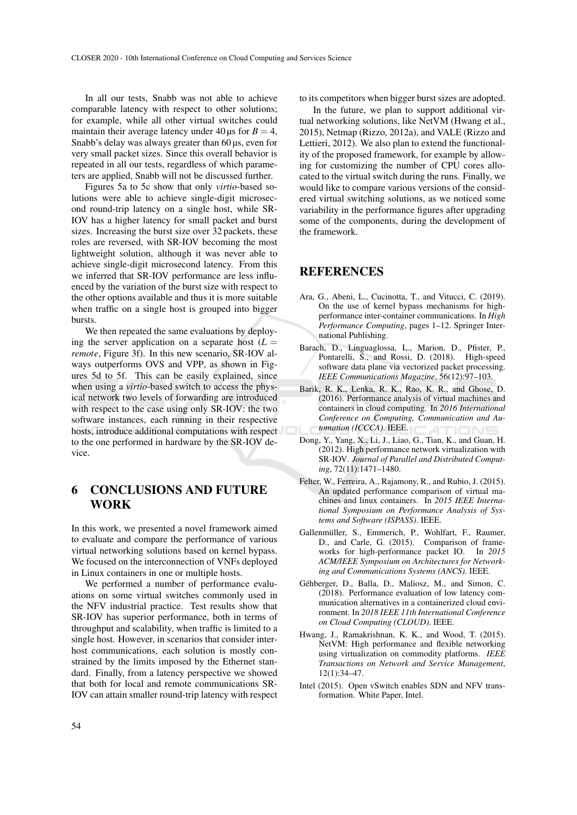In all our tests, Snabb was not able to achieve comparable latency with respect to other solutions; for example, while all other virtual switches could maintain their average latency under  $40 \,\mu s$  for  $B = 4$ , Snabb's delay was always greater than 60  $\mu$ s, even for very small packet sizes. Since this overall behavior is repeated in all our tests, regardless of which parameters are applied, Snabb will not be discussed further.

Figures 5a to 5c show that only *virtio*-based solutions were able to achieve single-digit microsecond round-trip latency on a single host, while SR-IOV has a higher latency for small packet and burst sizes. Increasing the burst size over 32 packets, these roles are reversed, with SR-IOV becoming the most lightweight solution, although it was never able to achieve single-digit microsecond latency. From this we inferred that SR-IOV performance are less influenced by the variation of the burst size with respect to the other options available and thus it is more suitable when traffic on a single host is grouped into bigger bursts.

We then repeated the same evaluations by deploying the server application on a separate host  $(L =$ *remote*, Figure 3f). In this new scenario, SR-IOV always outperforms OVS and VPP, as shown in Figures 5d to 5f. This can be easily explained, since when using a *virtio*-based switch to access the physical network two levels of forwarding are introduced with respect to the case using only SR-IOV: the two software instances, each running in their respective hosts, introduce additional computations with respect to the one performed in hardware by the SR-IOV device.

# 6 CONCLUSIONS AND FUTURE WORK

In this work, we presented a novel framework aimed to evaluate and compare the performance of various virtual networking solutions based on kernel bypass. We focused on the interconnection of VNFs deployed in Linux containers in one or multiple hosts.

We performed a number of performance evaluations on some virtual switches commonly used in the NFV industrial practice. Test results show that SR-IOV has superior performance, both in terms of throughput and scalability, when traffic is limited to a single host. However, in scenarios that consider interhost communications, each solution is mostly constrained by the limits imposed by the Ethernet standard. Finally, from a latency perspective we showed that both for local and remote communications SR-IOV can attain smaller round-trip latency with respect

to its competitors when bigger burst sizes are adopted.

In the future, we plan to support additional virtual networking solutions, like NetVM (Hwang et al., 2015), Netmap (Rizzo, 2012a), and VALE (Rizzo and Lettieri, 2012). We also plan to extend the functionality of the proposed framework, for example by allowing for customizing the number of CPU cores allocated to the virtual switch during the runs. Finally, we would like to compare various versions of the considered virtual switching solutions, as we noticed some variability in the performance figures after upgrading some of the components, during the development of the framework.

## REFERENCES

- Ara, G., Abeni, L., Cucinotta, T., and Vitucci, C. (2019). On the use of kernel bypass mechanisms for highperformance inter-container communications. In *High Performance Computing*, pages 1–12. Springer International Publishing.
- Barach, D., Linguaglossa, L., Marion, D., Pfister, P., Pontarelli, S., and Rossi, D. (2018). High-speed software data plane via vectorized packet processing. *IEEE Communications Magazine*, 56(12):97–103.
- Barik, R. K., Lenka, R. K., Rao, K. R., and Ghose, D. (2016). Performance analysis of virtual machines and containers in cloud computing. In *2016 International Conference on Computing, Communication and Automation (ICCCA)*. IEEE.
- Dong, Y., Yang, X., Li, J., Liao, G., Tian, K., and Guan, H. (2012). High performance network virtualization with SR-IOV. *Journal of Parallel and Distributed Computing*, 72(11):1471–1480.
- Felter, W., Ferreira, A., Rajamony, R., and Rubio, J. (2015). An updated performance comparison of virtual machines and linux containers. In *2015 IEEE International Symposium on Performance Analysis of Systems and Software (ISPASS)*. IEEE.
- Gallenmüller, S., Emmerich, P., Wohlfart, F., Raumer, D., and Carle, G. (2015). Comparison of frameworks for high-performance packet IO. In *2015 ACM/IEEE Symposium on Architectures for Networking and Communications Systems (ANCS)*. IEEE.
- Géhberger, D., Balla, D., Maliosz, M., and Simon, C. (2018). Performance evaluation of low latency communication alternatives in a containerized cloud environment. In *2018 IEEE 11th International Conference on Cloud Computing (CLOUD)*. IEEE.
- Hwang, J., Ramakrishnan, K. K., and Wood, T. (2015). NetVM: High performance and flexible networking using virtualization on commodity platforms. *IEEE Transactions on Network and Service Management*, 12(1):34–47.
- Intel (2015). Open vSwitch enables SDN and NFV transformation. White Paper, Intel.